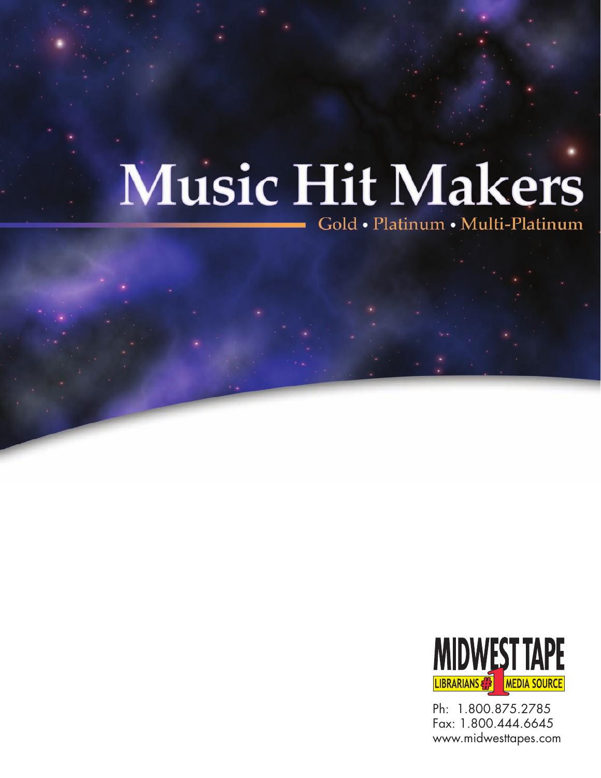Gold • Platinum • Multi-Platinum



Ph: 1.800.875.2785 Fax: 1.800.444.6645 www.midwesttapes.com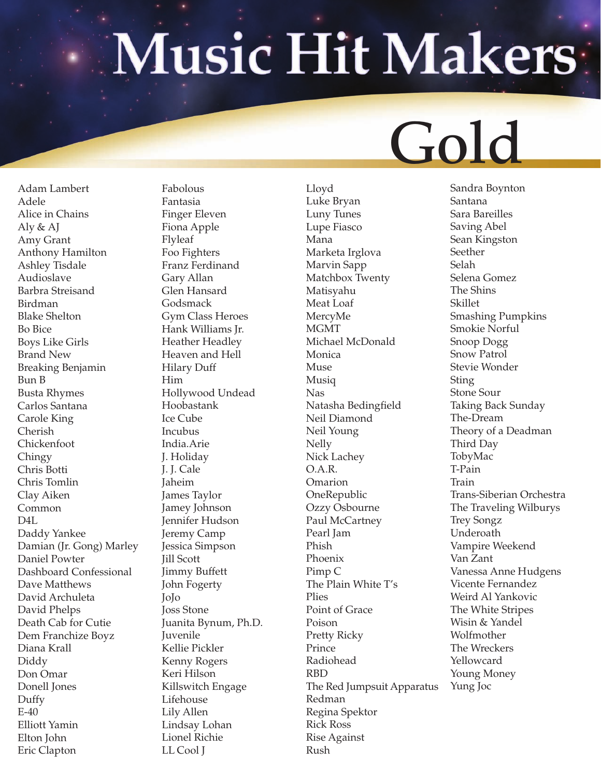#### Gold

Adam Lambert Adele Alice in Chains Aly & AJ Amy Grant Anthony Hamilton Ashley Tisdale Audioslave Barbra Streisand Birdman Blake Shelton Bo Bice Boys Like Girls Brand New Breaking Benjamin Bun B Busta Rhymes Carlos Santana Carole King Cherish Chickenfoot Chingy Chris Botti Chris Tomlin Clay Aiken Common D4L Daddy Yankee Damian (Jr. Gong) Marley Daniel Powter Dashboard Confessional Dave Matthews David Archuleta David Phelps Death Cab for Cutie Dem Franchize Boyz Diana Krall Diddy Don Omar Donell Jones Duffy E-40 Elliott Yamin Elton John Eric Clapton

Fabolous Fantasia Finger Eleven Fiona Apple Flyleaf Foo Fighters Franz Ferdinand Gary Allan Glen Hansard Godsmack Gym Class Heroes Hank Williams Jr. Heather Headley Heaven and Hell Hilary Duff Him Hollywood Undead Hoobastank Ice Cube Incubus India.Arie J. Holiday J. J. Cale Jaheim James Taylor Jamey Johnson Jennifer Hudson Jeremy Camp Jessica Simpson Jill Scott Jimmy Buffett John Fogerty JoJo Joss Stone Juanita Bynum, Ph.D. Juvenile Kellie Pickler Kenny Rogers Keri Hilson Killswitch Engage Lifehouse Lily Allen Lindsay Lohan Lionel Richie LL Cool J

Lloyd Luke Bryan Luny Tunes Lupe Fiasco Mana Marketa Irglova Marvin Sapp Matchbox Twenty Matisyahu Meat Loaf MercyMe MGMT Michael McDonald Monica Muse Musiq Nas Natasha Bedingfield Neil Diamond Neil Young Nelly Nick Lachey O.A.R. **Omarion** OneRepublic Ozzy Osbourne Paul McCartney Pearl Jam Phish Phoenix Pimp C The Plain White T's Plies Point of Grace Poison Pretty Ricky Prince Radiohead RBD The Red Jumpsuit Apparatus Redman Regina Spektor Rick Ross Rise Against Rush

Sandra Boynton Santana Sara Bareilles Saving Abel Sean Kingston Seether Selah Selena Gomez The Shins Skillet Smashing Pumpkins Smokie Norful Snoop Dogg Snow Patrol Stevie Wonder Sting Stone Sour Taking Back Sunday The-Dream Theory of a Deadman Third Day TobyMac T-Pain Train Trans-Siberian Orchestra The Traveling Wilburys Trey Songz Underoath Vampire Weekend Van Zant Vanessa Anne Hudgens Vicente Fernandez Weird Al Yankovic The White Stripes Wisin & Yandel Wolfmother The Wreckers Yellowcard Young Money Yung Joc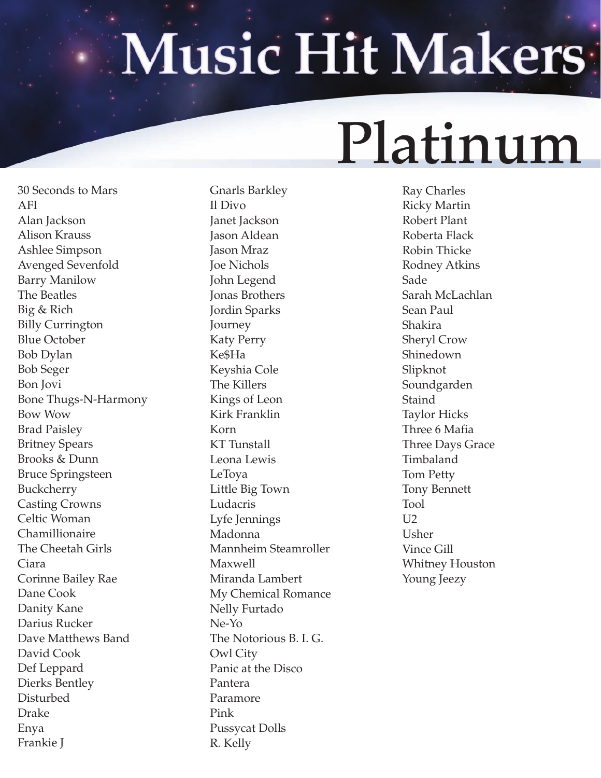#### Platinum

30 Seconds to Mars AFI Alan Jackson Alison Krauss Ashlee Simpson Avenged Sevenfold Barry Manilow The Beatles Big & Rich Billy Currington Blue October Bob Dylan Bob Seger Bon Jovi Bone Thugs-N-Harmony Bow Wow Brad Paisley Britney Spears Brooks & Dunn Bruce Springsteen Buckcherry Casting Crowns Celtic Woman Chamillionaire The Cheetah Girls Ciara Corinne Bailey Rae Dane Cook Danity Kane Darius Rucker Dave Matthews Band David Cook Def Leppard Dierks Bentley Disturbed Drake Enya Frankie J

Gnarls Barkley Il Divo Janet Jackson Jason Aldean Jason Mraz Joe Nichols John Legend Jonas Brothers Jordin Sparks Journey Katy Perry Ke\$Ha Keyshia Cole The Killers Kings of Leon Kirk Franklin Korn KT Tunstall Leona Lewis LeToya Little Big Town Ludacris Lyfe Jennings Madonna Mannheim Steamroller Maxwell Miranda Lambert My Chemical Romance Nelly Furtado Ne-Yo The Notorious B. I. G. Owl City Panic at the Disco Pantera Paramore Pink Pussycat Dolls R. Kelly

Ray Charles Ricky Martin Robert Plant Roberta Flack Robin Thicke Rodney Atkins Sade Sarah McLachlan Sean Paul Shakira Sheryl Crow Shinedown Slipknot Soundgarden **Staind** Taylor Hicks Three 6 Mafia Three Days Grace Timbaland Tom Petty Tony Bennett Tool  $U<sub>2</sub>$ Usher Vince Gill Whitney Houston Young Jeezy